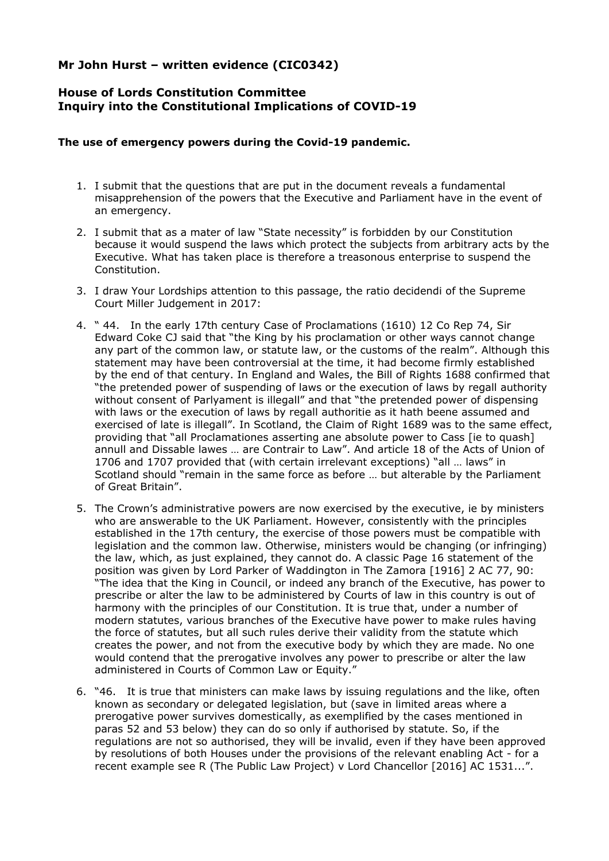## **Mr John Hurst – written evidence (CIC0342)**

## **House of Lords Constitution Committee Inquiry into the Constitutional Implications of COVID-19**

## **The use of emergency powers during the Covid-19 pandemic.**

- 1. I submit that the questions that are put in the document reveals a fundamental misapprehension of the powers that the Executive and Parliament have in the event of an emergency.
- 2. I submit that as a mater of law "State necessity" is forbidden by our Constitution because it would suspend the laws which protect the subjects from arbitrary acts by the Executive. What has taken place is therefore a treasonous enterprise to suspend the Constitution.
- 3. I draw Your Lordships attention to this passage, the ratio decidendi of the Supreme Court Miller Judgement in 2017:
- 4. " 44. In the early 17th century Case of Proclamations (1610) 12 Co Rep 74, Sir Edward Coke CJ said that "the King by his proclamation or other ways cannot change any part of the common law, or statute law, or the customs of the realm". Although this statement may have been controversial at the time, it had become firmly established by the end of that century. In England and Wales, the Bill of Rights 1688 confirmed that "the pretended power of suspending of laws or the execution of laws by regall authority without consent of Parlyament is illegall" and that "the pretended power of dispensing with laws or the execution of laws by regall authoritie as it hath beene assumed and exercised of late is illegall". In Scotland, the Claim of Right 1689 was to the same effect, providing that "all Proclamationes asserting ane absolute power to Cass [ie to quash] annull and Dissable lawes … are Contrair to Law". And article 18 of the Acts of Union of 1706 and 1707 provided that (with certain irrelevant exceptions) "all … laws" in Scotland should "remain in the same force as before … but alterable by the Parliament of Great Britain".
- 5. The Crown's administrative powers are now exercised by the executive, ie by ministers who are answerable to the UK Parliament. However, consistently with the principles established in the 17th century, the exercise of those powers must be compatible with legislation and the common law. Otherwise, ministers would be changing (or infringing) the law, which, as just explained, they cannot do. A classic Page 16 statement of the position was given by Lord Parker of Waddington in The Zamora [1916] 2 AC 77, 90: "The idea that the King in Council, or indeed any branch of the Executive, has power to prescribe or alter the law to be administered by Courts of law in this country is out of harmony with the principles of our Constitution. It is true that, under a number of modern statutes, various branches of the Executive have power to make rules having the force of statutes, but all such rules derive their validity from the statute which creates the power, and not from the executive body by which they are made. No one would contend that the prerogative involves any power to prescribe or alter the law administered in Courts of Common Law or Equity."
- 6. "46. It is true that ministers can make laws by issuing regulations and the like, often known as secondary or delegated legislation, but (save in limited areas where a prerogative power survives domestically, as exemplified by the cases mentioned in paras 52 and 53 below) they can do so only if authorised by statute. So, if the regulations are not so authorised, they will be invalid, even if they have been approved by resolutions of both Houses under the provisions of the relevant enabling Act - for a recent example see R (The Public Law Project) v Lord Chancellor [2016] AC 1531...".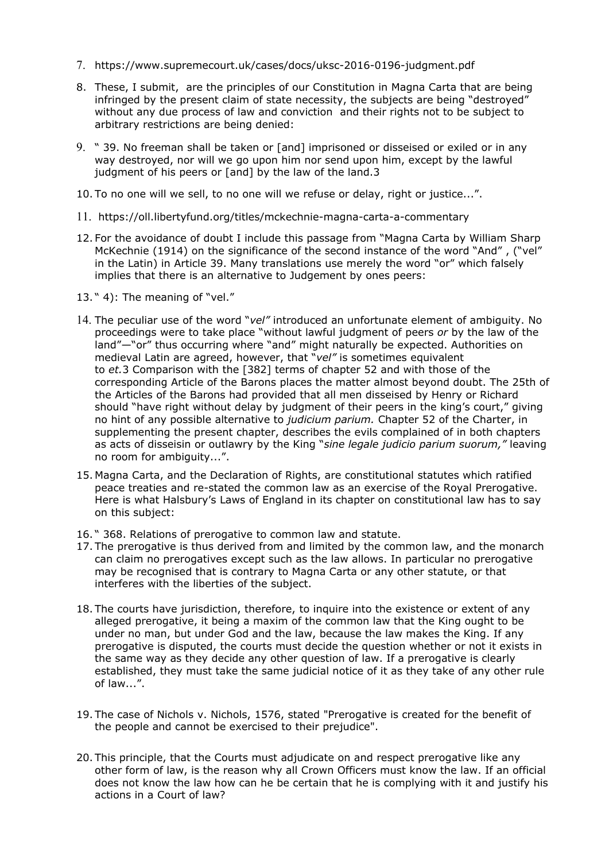- 7. <https://www.supremecourt.uk/cases/docs/uksc-2016-0196-judgment.pdf>
- 8. These, I submit, are the principles of our Constitution in Magna Carta that are being infringed by the present claim of state necessity, the subjects are being "destroyed" without any due process of law and conviction and their rights not to be subject to arbitrary restrictions are being denied:
- 9. " 39. No freeman shall be taken or [and] imprisoned or disseised or exiled or in any way destroyed, nor will we go upon him nor send upon him, except by the lawful judgment of his peers or [and] by the law of the land[.3](https://oll.libertyfund.org/titles/mckechnie-magna-carta-a-commentary#lf0032_footnote_nt958)
- 10. To no one will we sell, to no one will we refuse or delay, right or justice...".
- 11. <https://oll.libertyfund.org/titles/mckechnie-magna-carta-a-commentary>
- 12. For the avoidance of doubt I include this passage from "Magna Carta by William Sharp McKechnie (1914) on the significance of the second instance of the word "And" , ("vel" in the Latin) in Article 39. Many translations use merely the word "or" which falsely implies that there is an alternative to Judgement by ones peers:
- 13. " 4): The meaning of "vel."
- 14. The peculiar use of the word "*vel"* introduced an unfortunate element of ambiguity. No proceedings were to take place "without lawful judgment of peers *or* by the law of the land"—"or" thus occurring where "and" might naturally be expected. Authorities on medieval Latin are agreed, however, that "*vel"* is sometimes equivalent to *et.*[3](https://oll.libertyfund.org/titles/mckechnie-magna-carta-a-commentary#lf0032_footnote_nt980) Comparison with the [382] terms of chapter 52 and with those of the corresponding Article of the Barons places the matter almost beyond doubt. The 25th of the Articles of the Barons had provided that all men disseised by Henry or Richard should "have right without delay by judgment of their peers in the king's court," giving no hint of any possible alternative to *judicium parium.* Chapter 52 of the Charter, in supplementing the present chapter, describes the evils complained of in both chapters as acts of disseisin or outlawry by the King "*sine legale judicio parium suorum,"* leaving no room for ambiguity...".
- 15. Magna Carta, and the Declaration of Rights, are constitutional statutes which ratified peace treaties and re-stated the common law as an exercise of the Royal Prerogative. Here is what Halsbury's Laws of England in its chapter on constitutional law has to say on this subject:
- 16. " 368. Relations of prerogative to common law and statute.
- 17. The prerogative is thus derived from and limited by the common law, and the monarch can claim no prerogatives except such as the law allows. In particular no prerogative may be recognised that is contrary to Magna Carta or any other statute, or that interferes with the liberties of the subject.
- 18. The courts have jurisdiction, therefore, to inquire into the existence or extent of any alleged prerogative, it being a maxim of the common law that the King ought to be under no man, but under God and the law, because the law makes the King. If any prerogative is disputed, the courts must decide the question whether or not it exists in the same way as they decide any other question of law. If a prerogative is clearly established, they must take the same judicial notice of it as they take of any other rule of law...".
- 19. The case of Nichols v. Nichols, 1576, stated "Prerogative is created for the benefit of the people and cannot be exercised to their prejudice".
- 20. This principle, that the Courts must adjudicate on and respect prerogative like any other form of law, is the reason why all Crown Officers must know the law. If an official does not know the law how can he be certain that he is complying with it and justify his actions in a Court of law?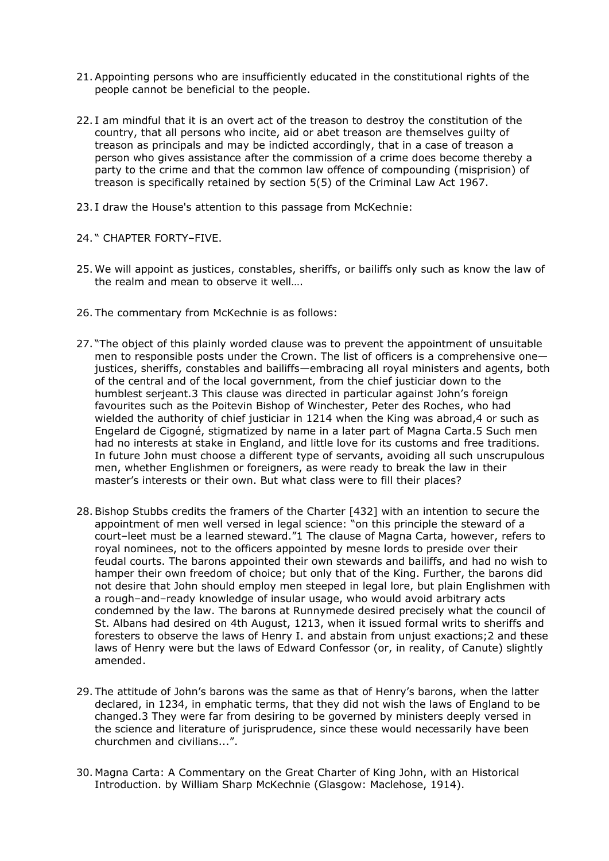- 21.Appointing persons who are insufficiently educated in the constitutional rights of the people cannot be beneficial to the people.
- 22. I am mindful that it is an overt act of the treason to destroy the constitution of the country, that all persons who incite, aid or abet treason are themselves guilty of treason as principals and may be indicted accordingly, that in a case of treason a person who gives assistance after the commission of a crime does become thereby a party to the crime and that the common law offence of compounding (misprision) of treason is specifically retained by section 5(5) of the Criminal Law Act 1967.
- 23. I draw the House's attention to this passage from McKechnie:
- 24. " CHAPTER FORTY–FIVE.
- 25. We will appoint as justices, constables, sheriffs, or bailiffs only such as know the law of the realm and mean to observe it well….
- 26. The commentary from McKechnie is as follows:
- 27. "The object of this plainly worded clause was to prevent the appointment of unsuitable men to responsible posts under the Crown. The list of officers is a comprehensive one justices, sheriffs, constables and bailiffs—embracing all royal ministers and agents, both of the central and of the local government, from the chief justiciar down to the humblest serjeant.3 This clause was directed in particular against John's foreign favourites such as the Poitevin Bishop of Winchester, Peter des Roches, who had wielded the authority of chief justiciar in 1214 when the King was abroad,4 or such as Engelard de Cigogné, stigmatized by name in a later part of Magna Carta.5 Such men had no interests at stake in England, and little love for its customs and free traditions. In future John must choose a different type of servants, avoiding all such unscrupulous men, whether Englishmen or foreigners, as were ready to break the law in their master's interests or their own. But what class were to fill their places?
- 28.Bishop Stubbs credits the framers of the Charter [432] with an intention to secure the appointment of men well versed in legal science: "on this principle the steward of a court–leet must be a learned steward."1 The clause of Magna Carta, however, refers to royal nominees, not to the officers appointed by mesne lords to preside over their feudal courts. The barons appointed their own stewards and bailiffs, and had no wish to hamper their own freedom of choice; but only that of the King. Further, the barons did not desire that John should employ men steeped in legal lore, but plain Englishmen with a rough–and–ready knowledge of insular usage, who would avoid arbitrary acts condemned by the law. The barons at Runnymede desired precisely what the council of St. Albans had desired on 4th August, 1213, when it issued formal writs to sheriffs and foresters to observe the laws of Henry I. and abstain from unjust exactions;2 and these laws of Henry were but the laws of Edward Confessor (or, in reality, of Canute) slightly amended.
- 29. The attitude of John's barons was the same as that of Henry's barons, when the latter declared, in 1234, in emphatic terms, that they did not wish the laws of England to be changed.3 They were far from desiring to be governed by ministers deeply versed in the science and literature of jurisprudence, since these would necessarily have been churchmen and civilians...".
- 30. Magna Carta: A Commentary on the Great Charter of King John, with an Historical Introduction. by William Sharp McKechnie (Glasgow: Maclehose, 1914).